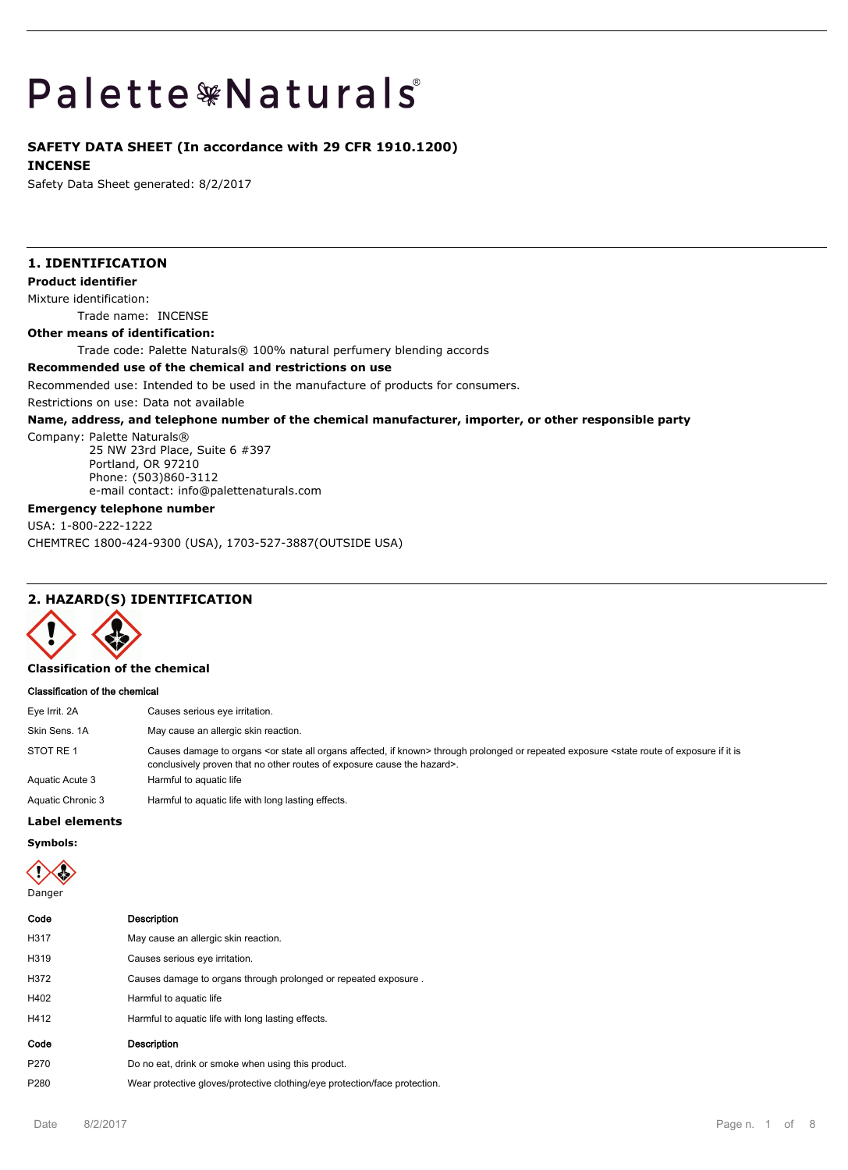# Palette \*Naturals

## **SAFETY DATA SHEET (In accordance with 29 CFR 1910.1200)**

#### **INCENSE**

Safety Data Sheet generated: 8/2/2017

## **1. IDENTIFICATION**

**Product identifier**

Mixture identification:

Trade name: INCENSE

#### **Other means of identification:**

Trade code: Palette Naturals® 100% natural perfumery blending accords

#### **Recommended use of the chemical and restrictions on use**

Recommended use: Intended to be used in the manufacture of products for consumers.

Restrictions on use: Data not available

#### **Name, address, and telephone number of the chemical manufacturer, importer, or other responsible party**

Company: Palette Naturals®

25 NW 23rd Place, Suite 6 #397 Portland, OR 97210 Phone: (503)860-3112 e-mail contact: info@palettenaturals.com

## **Emergency telephone number**

USA: 1-800-222-1222 CHEMTREC 1800-424-9300 (USA), 1703-527-3887(OUTSIDE USA)

## **2. HAZARD(S) IDENTIFICATION**



#### **Classification of the chemical**

#### **Classification of the chemical**

| Eye Irrit. 2A     | Causes serious eye irritation.                                                                                                                                                                                                                                           |
|-------------------|--------------------------------------------------------------------------------------------------------------------------------------------------------------------------------------------------------------------------------------------------------------------------|
| Skin Sens, 1A     | May cause an allergic skin reaction.                                                                                                                                                                                                                                     |
| STOT RE 1         | Causes damage to organs <or affected,="" all="" if="" known="" organs="" state=""> through prolonged or repeated exposure <state exposure="" if="" is<br="" it="" of="" route="">conclusively proven that no other routes of exposure cause the hazard&gt;.</state></or> |
| Aquatic Acute 3   | Harmful to aquatic life                                                                                                                                                                                                                                                  |
| Aquatic Chronic 3 | Harmful to aquatic life with long lasting effects.                                                                                                                                                                                                                       |

#### **Label elements**

**Symbols:**

Danger

| Code             | <b>Description</b>                                                         |
|------------------|----------------------------------------------------------------------------|
| H317             | May cause an allergic skin reaction.                                       |
| H319             | Causes serious eye irritation.                                             |
| H372             | Causes damage to organs through prolonged or repeated exposure.            |
| H402             | Harmful to aquatic life                                                    |
| H412             | Harmful to aquatic life with long lasting effects.                         |
| Code             | <b>Description</b>                                                         |
| P <sub>270</sub> | Do no eat, drink or smoke when using this product.                         |
| P280             | Wear protective gloves/protective clothing/eye protection/face protection. |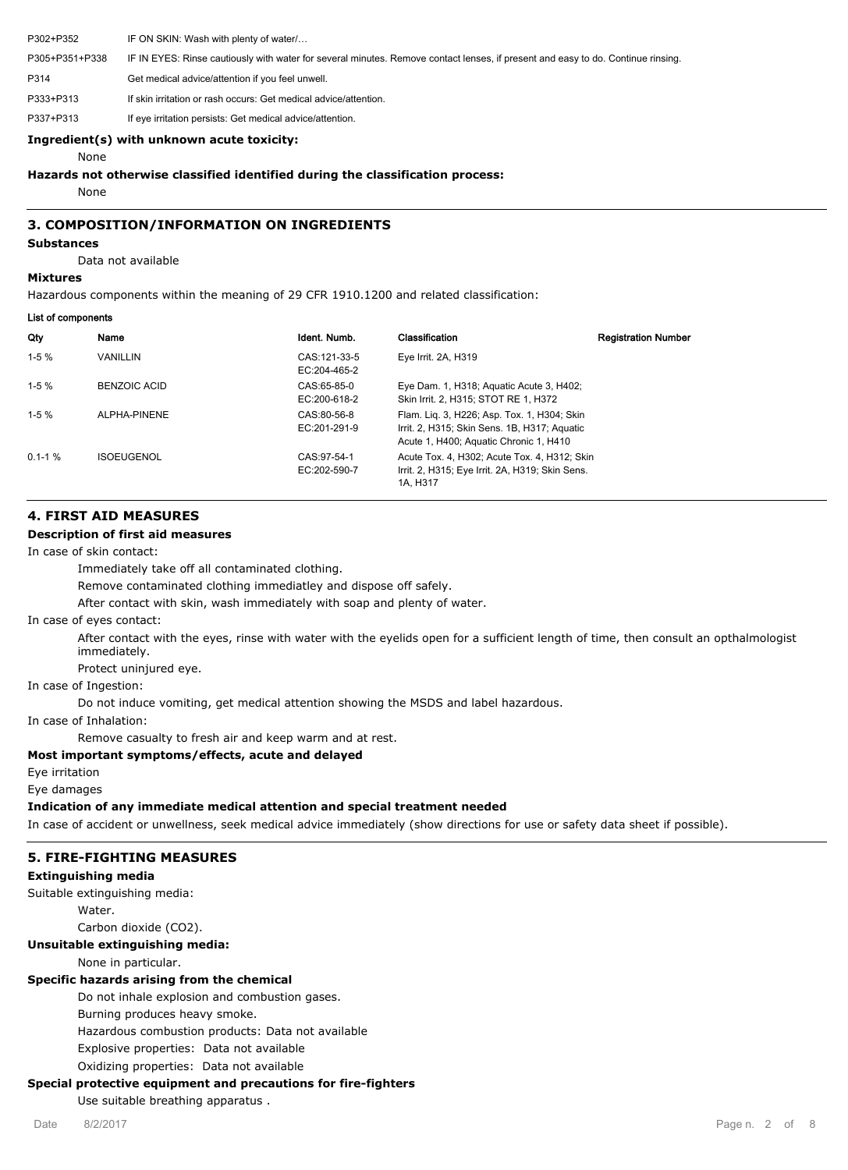P302+P352 IF ON SKIN: Wash with plenty of water/… P305+P351+P338 IF IN EYES: Rinse cautiously with water for several minutes. Remove contact lenses, if present and easy to do. Continue rinsing. P314 Get medical advice/attention if you feel unwell. P333+P313 If skin irritation or rash occurs: Get medical advice/attention. P337+P313 If eye irritation persists: Get medical advice/attention.

#### **Ingredient(s) with unknown acute toxicity:**

None

#### **Hazards not otherwise classified identified during the classification process:**

None

#### **3. COMPOSITION/INFORMATION ON INGREDIENTS**

## **Substances**

Data not available

## **Mixtures**

Hazardous components within the meaning of 29 CFR 1910.1200 and related classification:

#### **List of components**

| Qty         | Name              | Ident. Numb.                  | Classification                                                                                                                        | <b>Registration Number</b> |
|-------------|-------------------|-------------------------------|---------------------------------------------------------------------------------------------------------------------------------------|----------------------------|
| $1-5%$      | <b>VANILLIN</b>   | CAS: 121-33-5<br>EC:204-465-2 | Eye Irrit. 2A, H319                                                                                                                   |                            |
| $1-5%$      | BENZOIC ACID      | CAS:65-85-0<br>EC:200-618-2   | Eye Dam. 1, H318; Aguatic Acute 3, H402;<br>Skin Irrit. 2, H315; STOT RE 1, H372                                                      |                            |
| $1-5%$      | ALPHA-PINENE      | CAS:80-56-8<br>EC:201-291-9   | Flam. Lig. 3, H226; Asp. Tox. 1, H304; Skin<br>Irrit. 2, H315; Skin Sens. 1B, H317; Aguatic<br>Acute 1, H400; Aquatic Chronic 1, H410 |                            |
| $0.1 - 1$ % | <b>ISOEUGENOL</b> | CAS: 97-54-1<br>EC:202-590-7  | Acute Tox, 4, H302; Acute Tox, 4, H312; Skin<br>Irrit. 2, H315; Eye Irrit. 2A, H319; Skin Sens.<br>1A. H317                           |                            |

#### **4. FIRST AID MEASURES**

#### **Description of first aid measures**

In case of skin contact:

Immediately take off all contaminated clothing.

Remove contaminated clothing immediatley and dispose off safely.

After contact with skin, wash immediately with soap and plenty of water.

In case of eyes contact:

After contact with the eyes, rinse with water with the eyelids open for a sufficient length of time, then consult an opthalmologist immediately.

Protect uninjured eye.

In case of Ingestion:

Do not induce vomiting, get medical attention showing the MSDS and label hazardous.

In case of Inhalation:

Remove casualty to fresh air and keep warm and at rest.

#### **Most important symptoms/effects, acute and delayed**

Eye irritation

Eye damages

## **Indication of any immediate medical attention and special treatment needed**

In case of accident or unwellness, seek medical advice immediately (show directions for use or safety data sheet if possible).

## **5. FIRE-FIGHTING MEASURES**

## **Extinguishing media**

Suitable extinguishing media: **Water** Carbon dioxide (CO2).

## **Unsuitable extinguishing media:**

None in particular.

## **Specific hazards arising from the chemical**

Do not inhale explosion and combustion gases.

Burning produces heavy smoke.

Hazardous combustion products: Data not available

Explosive properties: Data not available

Oxidizing properties: Data not available

## **Special protective equipment and precautions for fire-fighters**

Use suitable breathing apparatus .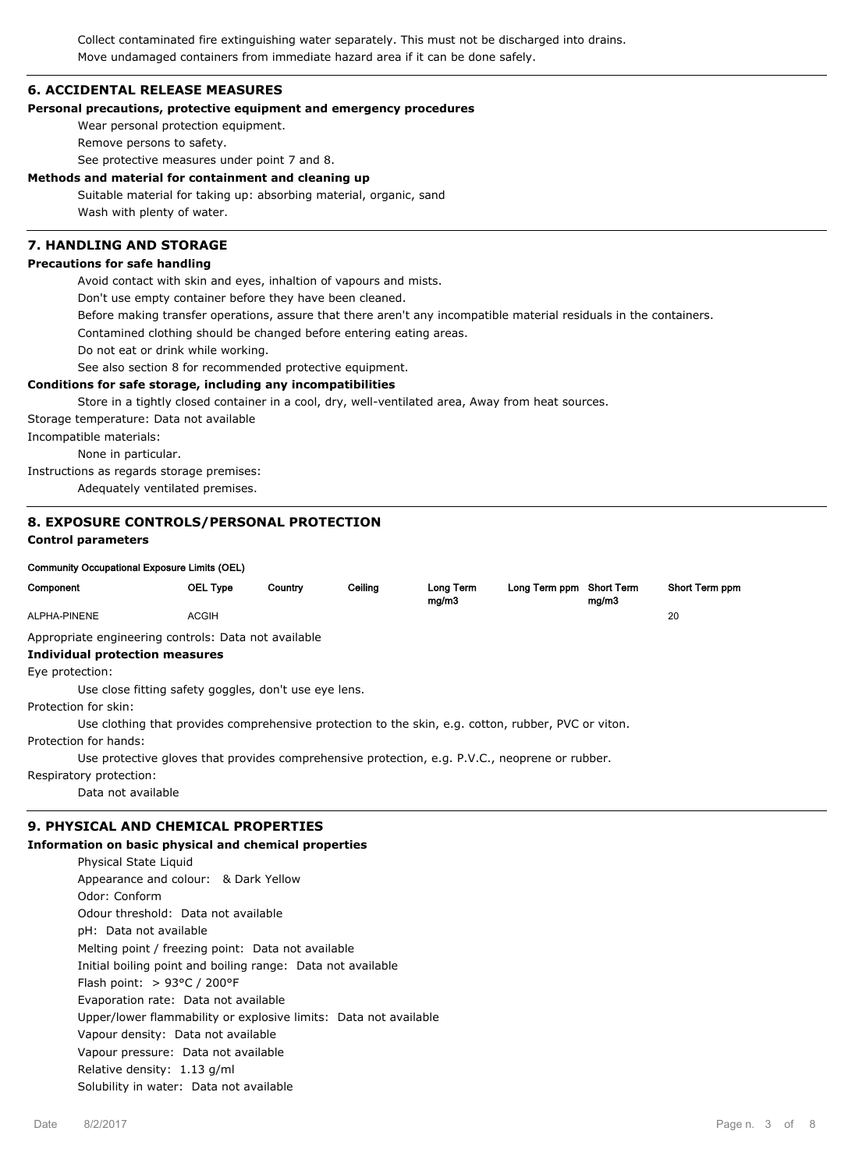Collect contaminated fire extinguishing water separately. This must not be discharged into drains. Move undamaged containers from immediate hazard area if it can be done safely.

#### **6. ACCIDENTAL RELEASE MEASURES**

#### **Personal precautions, protective equipment and emergency procedures**

Wear personal protection equipment.

Remove persons to safety.

See protective measures under point 7 and 8.

**Methods and material for containment and cleaning up**

Suitable material for taking up: absorbing material, organic, sand Wash with plenty of water.

## **7. HANDLING AND STORAGE**

#### **Precautions for safe handling**

Avoid contact with skin and eyes, inhaltion of vapours and mists.

Don't use empty container before they have been cleaned.

Before making transfer operations, assure that there aren't any incompatible material residuals in the containers.

Contamined clothing should be changed before entering eating areas.

Do not eat or drink while working.

See also section 8 for recommended protective equipment.

#### **Conditions for safe storage, including any incompatibilities**

Store in a tightly closed container in a cool, dry, well-ventilated area, Away from heat sources.

Storage temperature: Data not available

Incompatible materials:

None in particular.

Instructions as regards storage premises:

Adequately ventilated premises.

#### **8. EXPOSURE CONTROLS/PERSONAL PROTECTION**

#### **Control parameters**

#### **Community Occupational Exposure Limits (OEL)**

| Component                                                                                           | OEL Type                                              | Country | Ceiling | Long Term<br>mg/m3 | Long Term ppm Short Term | mg/m3 | Short Term ppm |  |
|-----------------------------------------------------------------------------------------------------|-------------------------------------------------------|---------|---------|--------------------|--------------------------|-------|----------------|--|
| ALPHA-PINENE                                                                                        | <b>ACGIH</b>                                          |         |         |                    |                          |       | 20             |  |
| Appropriate engineering controls: Data not available                                                |                                                       |         |         |                    |                          |       |                |  |
|                                                                                                     | Individual protection measures                        |         |         |                    |                          |       |                |  |
| Eye protection:                                                                                     |                                                       |         |         |                    |                          |       |                |  |
|                                                                                                     | Use close fitting safety goggles, don't use eye lens. |         |         |                    |                          |       |                |  |
| Protection for skin:                                                                                |                                                       |         |         |                    |                          |       |                |  |
| Use clothing that provides comprehensive protection to the skin, e.g. cotton, rubber, PVC or viton. |                                                       |         |         |                    |                          |       |                |  |
| Protection for hands:                                                                               |                                                       |         |         |                    |                          |       |                |  |
| Use protective gloves that provides comprehensive protection, e.g. P.V.C., neoprene or rubber.      |                                                       |         |         |                    |                          |       |                |  |
| Respiratory protection:                                                                             |                                                       |         |         |                    |                          |       |                |  |
| Data not available                                                                                  |                                                       |         |         |                    |                          |       |                |  |
| <b>9. PHYSICAL AND CHEMICAL PROPERTIES</b>                                                          |                                                       |         |         |                    |                          |       |                |  |

## **Information on basic physical and chemical properties**

Physical State Liquid Appearance and colour: & Dark Yellow Odor: Conform Odour threshold: Data not available pH: Data not available Melting point / freezing point: Data not available Initial boiling point and boiling range: Data not available Flash point: > 93°C / 200°F Evaporation rate: Data not available Upper/lower flammability or explosive limits: Data not available Vapour density: Data not available Vapour pressure: Data not available Relative density: 1.13 g/ml Solubility in water: Data not available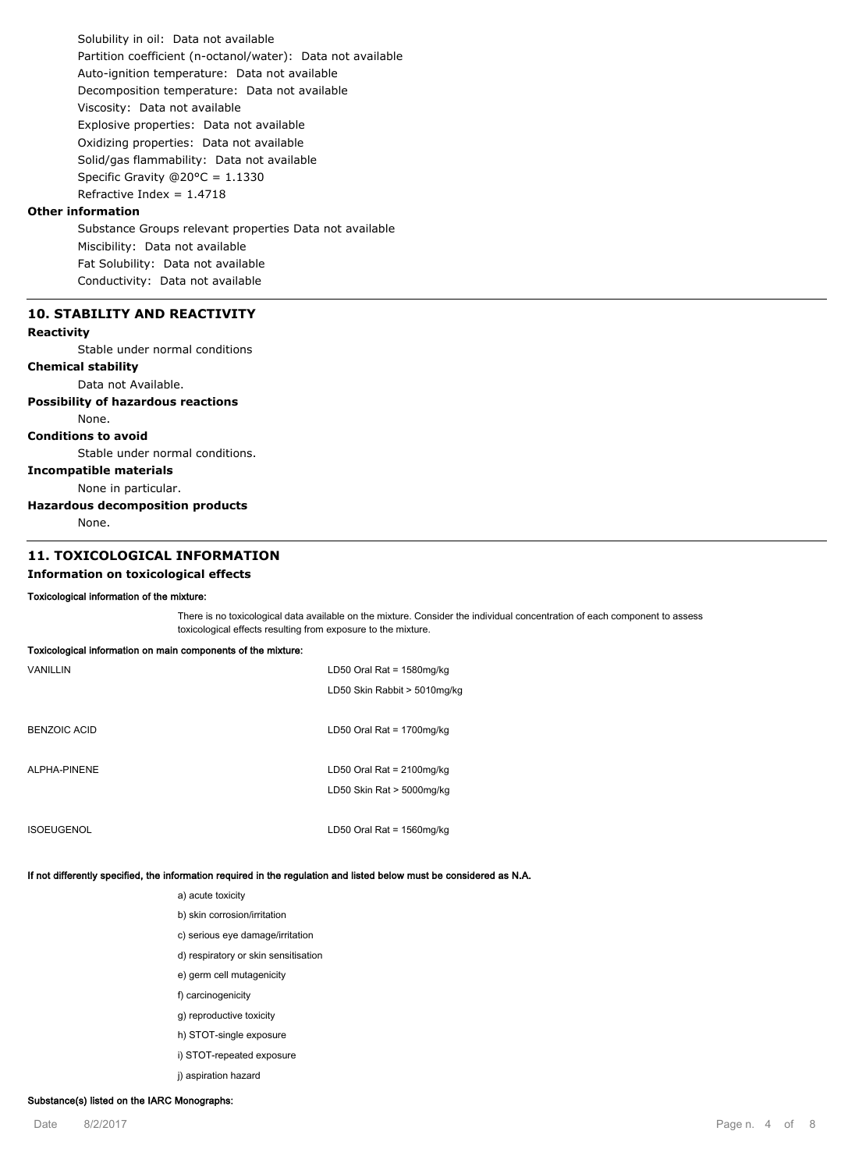Solubility in oil: Data not available Partition coefficient (n-octanol/water): Data not available Auto-ignition temperature: Data not available Decomposition temperature: Data not available Viscosity: Data not available Explosive properties: Data not available Oxidizing properties: Data not available Solid/gas flammability: Data not available Specific Gravity @20°C = 1.1330 Refractive Index =  $1.4718$ 

## **Other information**

Substance Groups relevant properties Data not available Miscibility: Data not available Fat Solubility: Data not available Conductivity: Data not available

## **10. STABILITY AND REACTIVITY**

#### **Reactivity**

Stable under normal conditions

## **Chemical stability**

Data not Available.

#### **Possibility of hazardous reactions**

None.

#### **Conditions to avoid**

Stable under normal conditions.

#### **Incompatible materials**

None in particular.

#### **Hazardous decomposition products**

None.

## **11. TOXICOLOGICAL INFORMATION**

**Toxicological information on main components of the mixture:**

#### **Information on toxicological effects**

#### **Toxicological information of the mixture:**

There is no toxicological data available on the mixture. Consider the individual concentration of each component to assess toxicological effects resulting from exposure to the mixture.

| <b>Textbelle and internation on main componente or are impact</b> |                              |
|-------------------------------------------------------------------|------------------------------|
| VANILLIN                                                          | LD50 Oral Rat = $1580$ mg/kg |
|                                                                   | LD50 Skin Rabbit > 5010mg/kg |
|                                                                   |                              |
| <b>BENZOIC ACID</b>                                               | LD50 Oral Rat = $1700$ mg/kg |
|                                                                   |                              |
| ALPHA-PINENE                                                      | LD50 Oral Rat = $2100$ mg/kg |
|                                                                   | LD50 Skin Rat > 5000mg/kg    |
|                                                                   |                              |

ISOEUGENOL LD50 Oral Rat = 1560mg/kg

#### **If not differently specified, the information required in the regulation and listed below must be considered as N.A.**

a) acute toxicity

- b) skin corrosion/irritation
- c) serious eye damage/irritation
- d) respiratory or skin sensitisation
- e) germ cell mutagenicity
- f) carcinogenicity
- g) reproductive toxicity
- h) STOT-single exposure
- i) STOT-repeated exposure
- j) aspiration hazard

## **Substance(s) listed on the IARC Monographs:**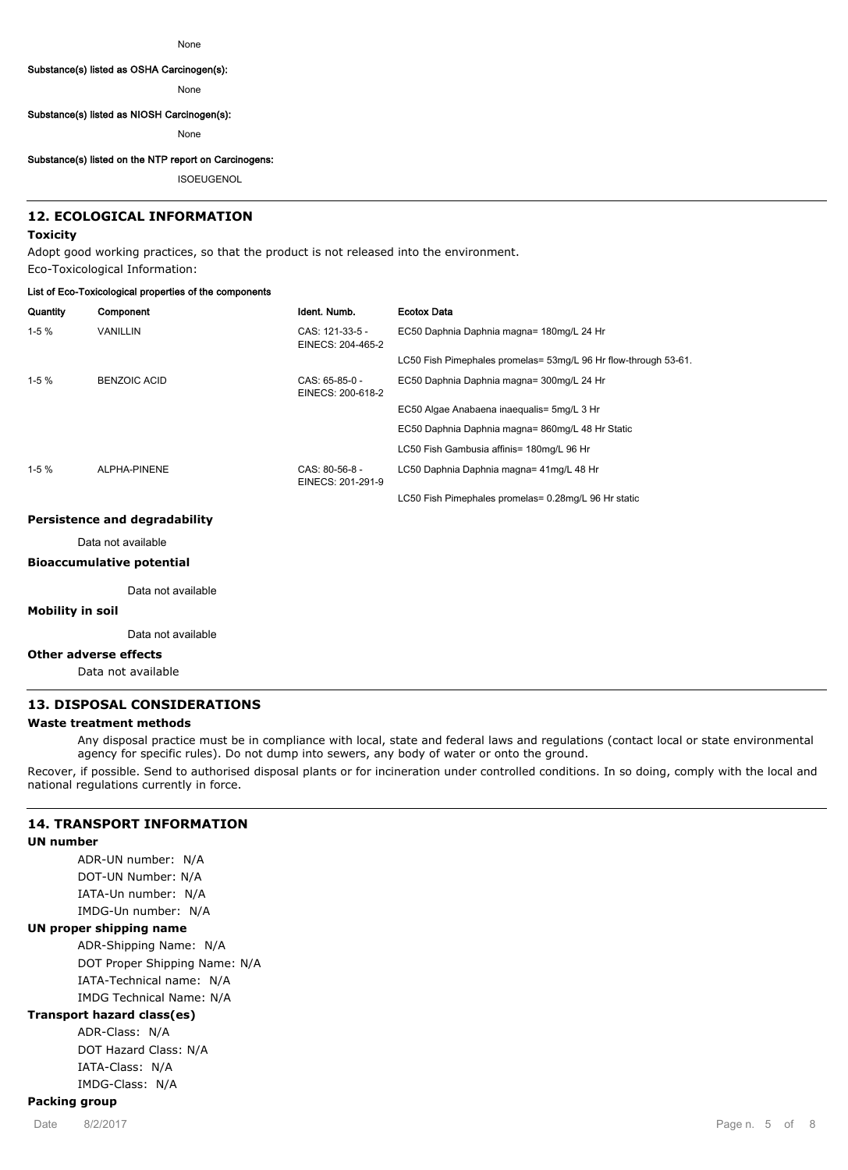#### **Substance(s) listed as OSHA Carcinogen(s):**

None

#### **Substance(s) listed as NIOSH Carcinogen(s):**

None

#### **Substance(s) listed on the NTP report on Carcinogens:**

ISOEUGENOL

## **12. ECOLOGICAL INFORMATION**

## **Toxicity**

Adopt good working practices, so that the product is not released into the environment. Eco-Toxicological Information:

#### **List of Eco-Toxicological properties of the components**

| Quantity | Component           | Ident. Numb.                          | <b>Ecotox Data</b>                                              |
|----------|---------------------|---------------------------------------|-----------------------------------------------------------------|
| $1-5%$   | <b>VANILLIN</b>     | CAS: 121-33-5 -<br>EINECS: 204-465-2  | EC50 Daphnia Daphnia magna= 180mg/L 24 Hr                       |
|          |                     |                                       | LC50 Fish Pimephales promelas= 53mg/L 96 Hr flow-through 53-61. |
| $1-5%$   | <b>BENZOIC ACID</b> | $CAS: 65-85-0 -$<br>EINECS: 200-618-2 | EC50 Daphnia Daphnia magna= 300mg/L 24 Hr                       |
|          |                     |                                       | EC50 Algae Anabaena inaequalis= 5mg/L 3 Hr                      |
|          |                     |                                       | EC50 Daphnia Daphnia magna= 860mg/L 48 Hr Static                |
|          |                     |                                       | LC50 Fish Gambusia affinis= 180mg/L 96 Hr                       |
| $1-5%$   | ALPHA-PINENE        | $CAS: 80-56-8-$<br>EINECS: 201-291-9  | LC50 Daphnia Daphnia magna= 41mg/L 48 Hr                        |
|          |                     |                                       | LC50 Fish Pimephales promelas= 0.28mg/L 96 Hr static            |

#### **Persistence and degradability**

Data not available

#### **Bioaccumulative potential**

Data not available

#### **Mobility in soil**

Data not available

### **Other adverse effects**

Data not available

#### **13. DISPOSAL CONSIDERATIONS**

#### **Waste treatment methods**

Any disposal practice must be in compliance with local, state and federal laws and regulations (contact local or state environmental agency for specific rules). Do not dump into sewers, any body of water or onto the ground.

Recover, if possible. Send to authorised disposal plants or for incineration under controlled conditions. In so doing, comply with the local and national regulations currently in force.

### **14. TRANSPORT INFORMATION**

#### **UN number**

ADR-UN number: N/A DOT-UN Number: N/A IATA-Un number: N/A IMDG-Un number: N/A **UN proper shipping name** ADR-Shipping Name: N/A DOT Proper Shipping Name: N/A IATA-Technical name: N/A

IMDG Technical Name: N/A

## **Transport hazard class(es)**

ADR-Class: N/A DOT Hazard Class: N/A IATA-Class: N/A IMDG-Class: N/A

## **Packing group**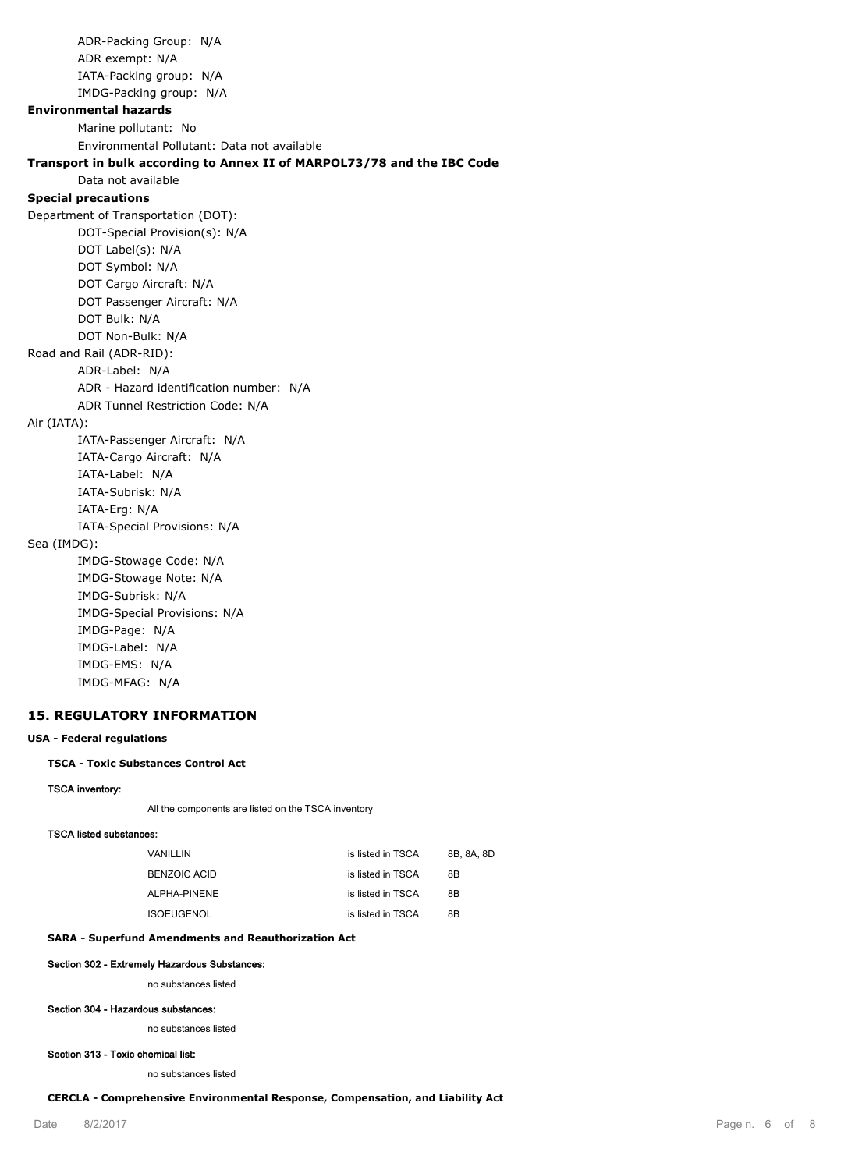ADR-Packing Group: N/A ADR exempt: N/A IATA-Packing group: N/A IMDG-Packing group: N/A **Environmental hazards** Marine pollutant: No Environmental Pollutant: Data not available **Transport in bulk according to Annex II of MARPOL73/78 and the IBC Code** Data not available **Special precautions** Department of Transportation (DOT): DOT-Special Provision(s): N/A DOT Label(s): N/A DOT Symbol: N/A DOT Cargo Aircraft: N/A DOT Passenger Aircraft: N/A DOT Bulk: N/A DOT Non-Bulk: N/A Road and Rail (ADR-RID): ADR-Label: N/A ADR - Hazard identification number: N/A ADR Tunnel Restriction Code: N/A Air (IATA): IATA-Passenger Aircraft: N/A IATA-Cargo Aircraft: N/A IATA-Label: N/A IATA-Subrisk: N/A IATA-Erg: N/A IATA-Special Provisions: N/A Sea (IMDG): IMDG-Stowage Code: N/A IMDG-Stowage Note: N/A IMDG-Subrisk: N/A IMDG-Special Provisions: N/A IMDG-Page: N/A IMDG-Label: N/A IMDG-EMS: N/A

#### **15. REGULATORY INFORMATION**

IMDG-MFAG: N/A

#### **USA - Federal regulations**

#### **TSCA - Toxic Substances Control Act**

#### **TSCA inventory:**

All the components are listed on the TSCA inventory

#### **TSCA listed substances:**

| VANILLIN          | is listed in TSCA | 8B. 8A. 8D |
|-------------------|-------------------|------------|
| BENZOIC ACID      | is listed in TSCA | 8B         |
| ALPHA-PINENE      | is listed in TSCA | 8B         |
| <b>ISOEUGENOL</b> | is listed in TSCA | 8B         |

#### **SARA - Superfund Amendments and Reauthorization Act**

#### **Section 302 - Extremely Hazardous Substances:**

no substances listed

#### **Section 304 - Hazardous substances:**

no substances listed

#### **Section 313 - Toxic chemical list:**

no substances listed

**CERCLA - Comprehensive Environmental Response, Compensation, and Liability Act**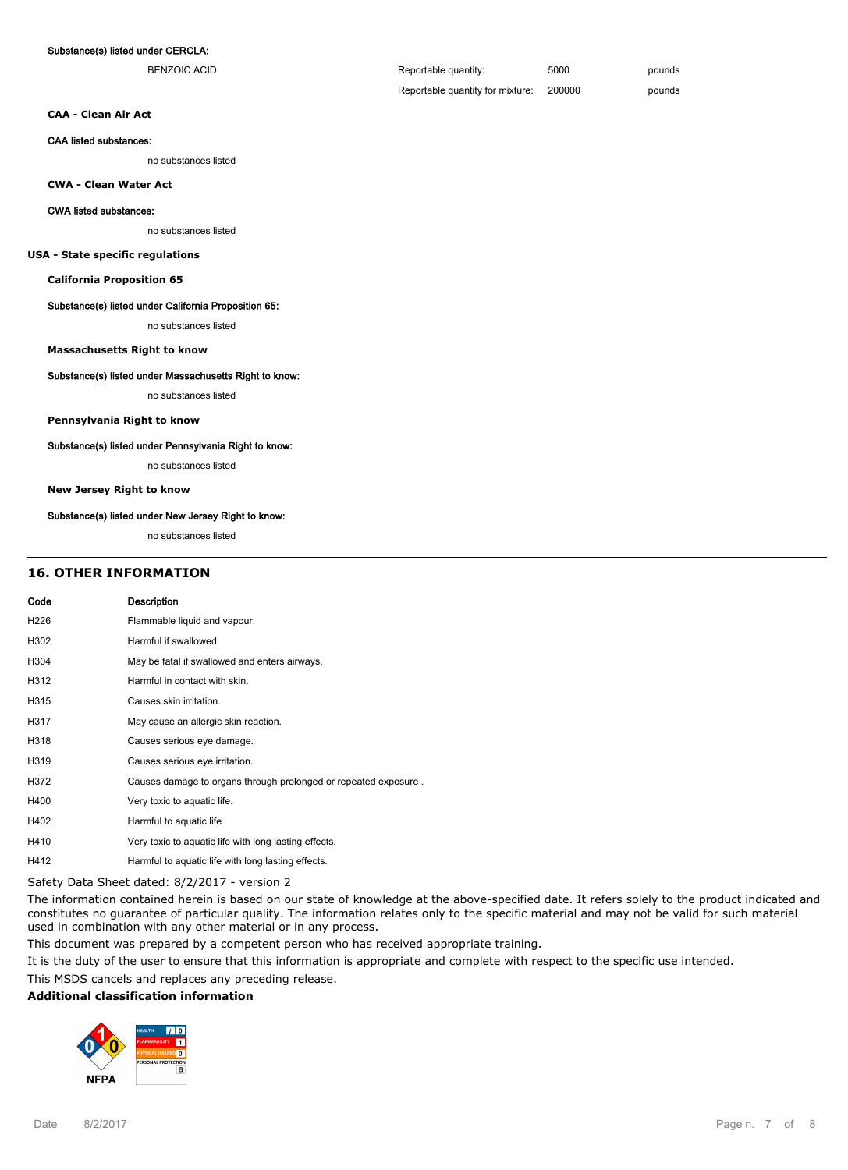#### **Substance(s) listed under CERCLA:**

| BENZOIC ACID | Reportable quantity:             | 5000   | pounds |
|--------------|----------------------------------|--------|--------|
|              | Reportable quantity for mixture: | 200000 | pounds |

**CAA - Clean Air Act**

#### **CAA listed substances:**

no substances listed

**CWA - Clean Water Act**

#### **CWA listed substances:**

no substances listed

#### **USA - State specific regulations**

**California Proposition 65**

#### **Substance(s) listed under California Proposition 65:**

no substances listed

#### **Massachusetts Right to know**

#### **Substance(s) listed under Massachusetts Right to know:**

no substances listed

**Pennsylvania Right to know**

#### **Substance(s) listed under Pennsylvania Right to know:**

no substances listed

#### **New Jersey Right to know**

#### **Substance(s) listed under New Jersey Right to know:**

no substances listed

#### **16. OTHER INFORMATION**

## **Code Description** H226 Flammable liquid and vapour. H302 Harmful if swallowed. H304 May be fatal if swallowed and enters airways. H312 Harmful in contact with skin. H315 Causes skin irritation. H317 May cause an allergic skin reaction. H318 Causes serious eye damage. H319 Causes serious eye irritation. H372 Causes damage to organs through prolonged or repeated exposure . H400 Very toxic to aquatic life. H402 Harmful to aquatic life H410 Very toxic to aquatic life with long lasting effects.

H412 Harmful to aquatic life with long lasting effects.

Safety Data Sheet dated: 8/2/2017 - version 2

The information contained herein is based on our state of knowledge at the above-specified date. It refers solely to the product indicated and constitutes no guarantee of particular quality. The information relates only to the specific material and may not be valid for such material used in combination with any other material or in any process.

This document was prepared by a competent person who has received appropriate training.

It is the duty of the user to ensure that this information is appropriate and complete with respect to the specific use intended.

This MSDS cancels and replaces any preceding release.

#### **Additional classification information**